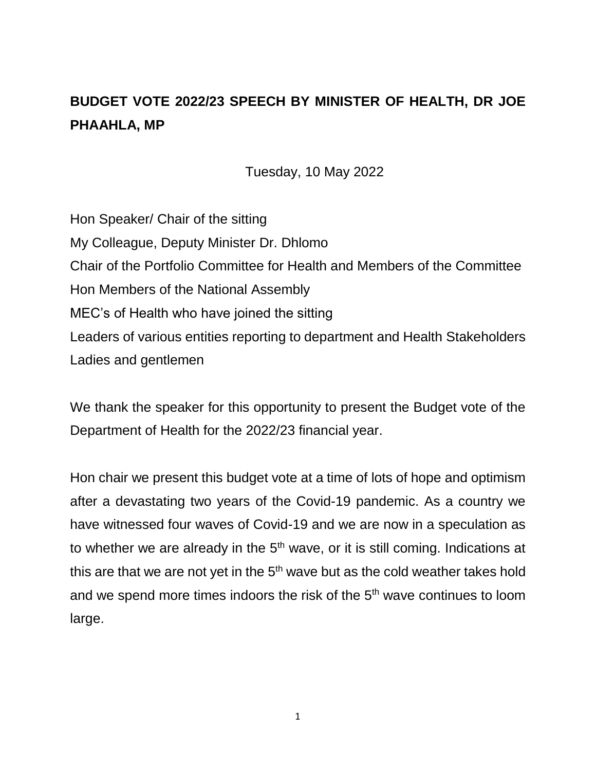## **BUDGET VOTE 2022/23 SPEECH BY MINISTER OF HEALTH, DR JOE PHAAHLA, MP**

Tuesday, 10 May 2022

Hon Speaker/ Chair of the sitting My Colleague, Deputy Minister Dr. Dhlomo Chair of the Portfolio Committee for Health and Members of the Committee Hon Members of the National Assembly MEC's of Health who have joined the sitting Leaders of various entities reporting to department and Health Stakeholders Ladies and gentlemen

We thank the speaker for this opportunity to present the Budget vote of the Department of Health for the 2022/23 financial year.

Hon chair we present this budget vote at a time of lots of hope and optimism after a devastating two years of the Covid-19 pandemic. As a country we have witnessed four waves of Covid-19 and we are now in a speculation as to whether we are already in the  $5<sup>th</sup>$  wave, or it is still coming. Indications at this are that we are not yet in the  $5<sup>th</sup>$  wave but as the cold weather takes hold and we spend more times indoors the risk of the 5<sup>th</sup> wave continues to loom large.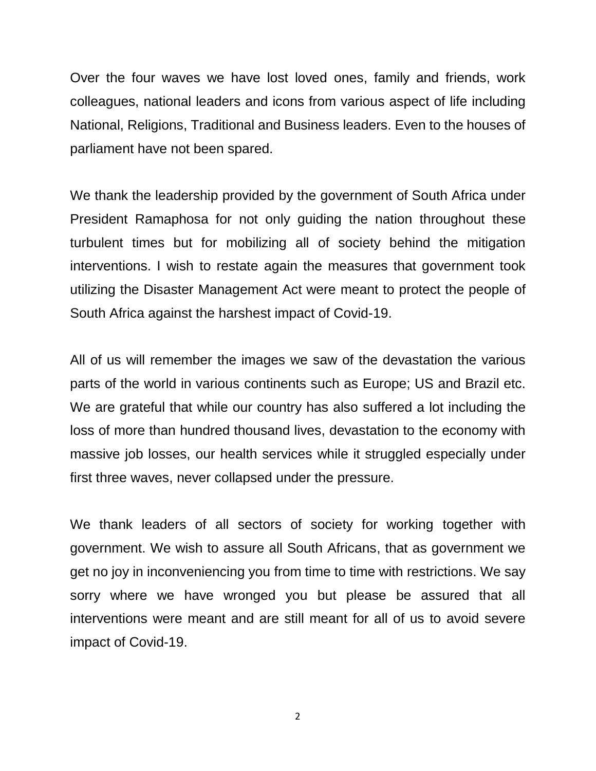Over the four waves we have lost loved ones, family and friends, work colleagues, national leaders and icons from various aspect of life including National, Religions, Traditional and Business leaders. Even to the houses of parliament have not been spared.

We thank the leadership provided by the government of South Africa under President Ramaphosa for not only guiding the nation throughout these turbulent times but for mobilizing all of society behind the mitigation interventions. I wish to restate again the measures that government took utilizing the Disaster Management Act were meant to protect the people of South Africa against the harshest impact of Covid-19.

All of us will remember the images we saw of the devastation the various parts of the world in various continents such as Europe; US and Brazil etc. We are grateful that while our country has also suffered a lot including the loss of more than hundred thousand lives, devastation to the economy with massive job losses, our health services while it struggled especially under first three waves, never collapsed under the pressure.

We thank leaders of all sectors of society for working together with government. We wish to assure all South Africans, that as government we get no joy in inconveniencing you from time to time with restrictions. We say sorry where we have wronged you but please be assured that all interventions were meant and are still meant for all of us to avoid severe impact of Covid-19.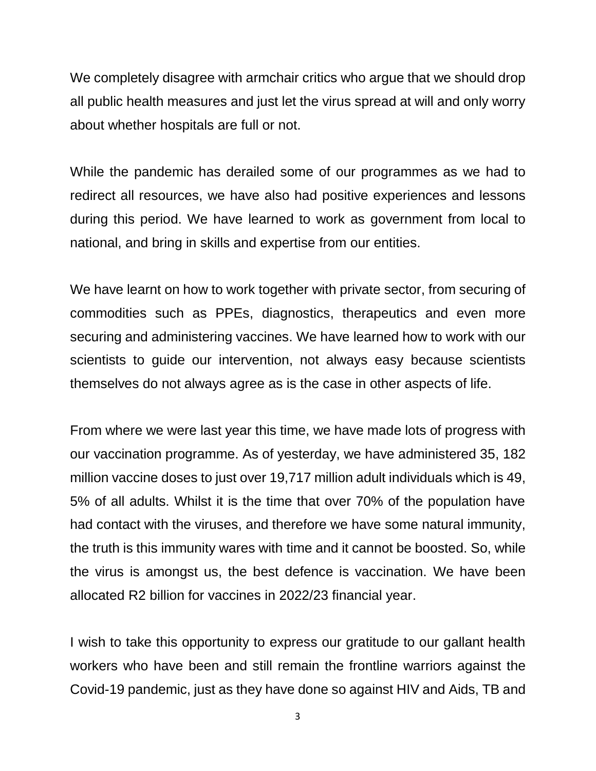We completely disagree with armchair critics who argue that we should drop all public health measures and just let the virus spread at will and only worry about whether hospitals are full or not.

While the pandemic has derailed some of our programmes as we had to redirect all resources, we have also had positive experiences and lessons during this period. We have learned to work as government from local to national, and bring in skills and expertise from our entities.

We have learnt on how to work together with private sector, from securing of commodities such as PPEs, diagnostics, therapeutics and even more securing and administering vaccines. We have learned how to work with our scientists to guide our intervention, not always easy because scientists themselves do not always agree as is the case in other aspects of life.

From where we were last year this time, we have made lots of progress with our vaccination programme. As of yesterday, we have administered 35, 182 million vaccine doses to just over 19,717 million adult individuals which is 49, 5% of all adults. Whilst it is the time that over 70% of the population have had contact with the viruses, and therefore we have some natural immunity, the truth is this immunity wares with time and it cannot be boosted. So, while the virus is amongst us, the best defence is vaccination. We have been allocated R2 billion for vaccines in 2022/23 financial year.

I wish to take this opportunity to express our gratitude to our gallant health workers who have been and still remain the frontline warriors against the Covid-19 pandemic, just as they have done so against HIV and Aids, TB and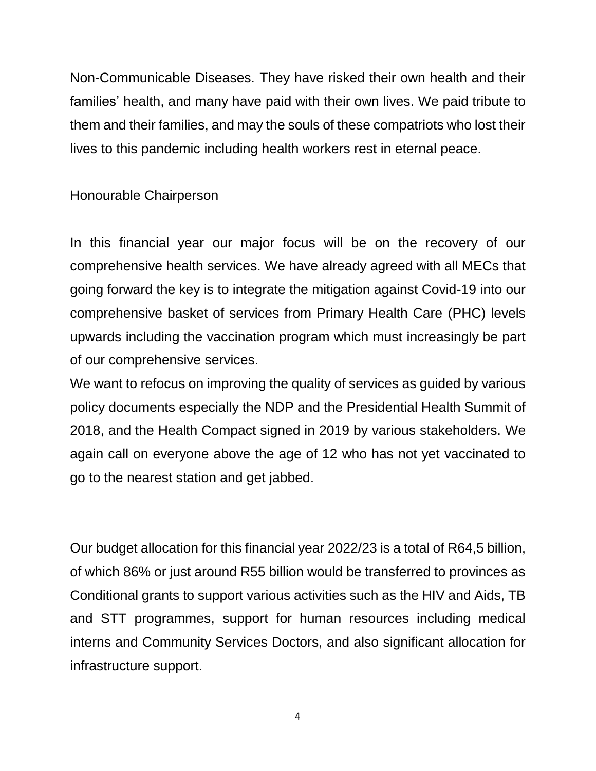Non-Communicable Diseases. They have risked their own health and their families' health, and many have paid with their own lives. We paid tribute to them and their families, and may the souls of these compatriots who lost their lives to this pandemic including health workers rest in eternal peace.

## Honourable Chairperson

In this financial year our major focus will be on the recovery of our comprehensive health services. We have already agreed with all MECs that going forward the key is to integrate the mitigation against Covid-19 into our comprehensive basket of services from Primary Health Care (PHC) levels upwards including the vaccination program which must increasingly be part of our comprehensive services.

We want to refocus on improving the quality of services as guided by various policy documents especially the NDP and the Presidential Health Summit of 2018, and the Health Compact signed in 2019 by various stakeholders. We again call on everyone above the age of 12 who has not yet vaccinated to go to the nearest station and get jabbed.

Our budget allocation for this financial year 2022/23 is a total of R64,5 billion, of which 86% or just around R55 billion would be transferred to provinces as Conditional grants to support various activities such as the HIV and Aids, TB and STT programmes, support for human resources including medical interns and Community Services Doctors, and also significant allocation for infrastructure support.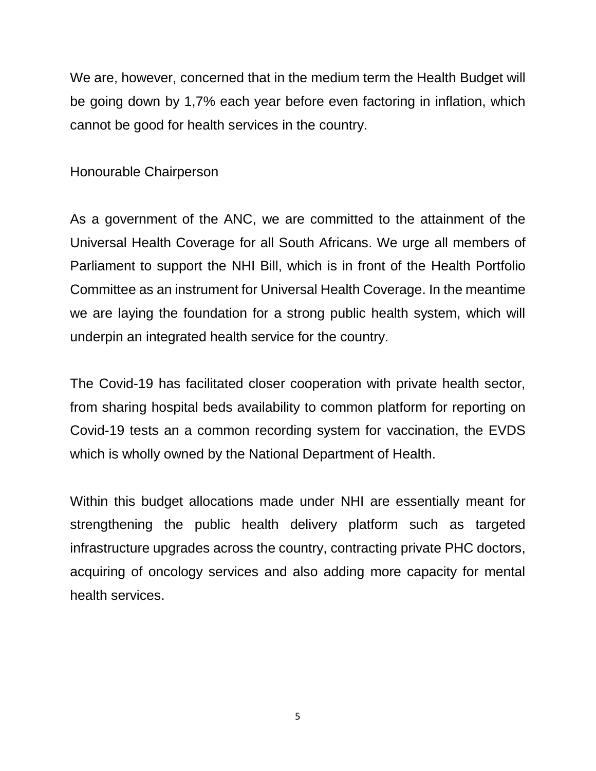We are, however, concerned that in the medium term the Health Budget will be going down by 1,7% each year before even factoring in inflation, which cannot be good for health services in the country.

Honourable Chairperson

As a government of the ANC, we are committed to the attainment of the Universal Health Coverage for all South Africans. We urge all members of Parliament to support the NHI Bill, which is in front of the Health Portfolio Committee as an instrument for Universal Health Coverage. In the meantime we are laying the foundation for a strong public health system, which will underpin an integrated health service for the country.

The Covid-19 has facilitated closer cooperation with private health sector, from sharing hospital beds availability to common platform for reporting on Covid-19 tests an a common recording system for vaccination, the EVDS which is wholly owned by the National Department of Health.

Within this budget allocations made under NHI are essentially meant for strengthening the public health delivery platform such as targeted infrastructure upgrades across the country, contracting private PHC doctors, acquiring of oncology services and also adding more capacity for mental health services.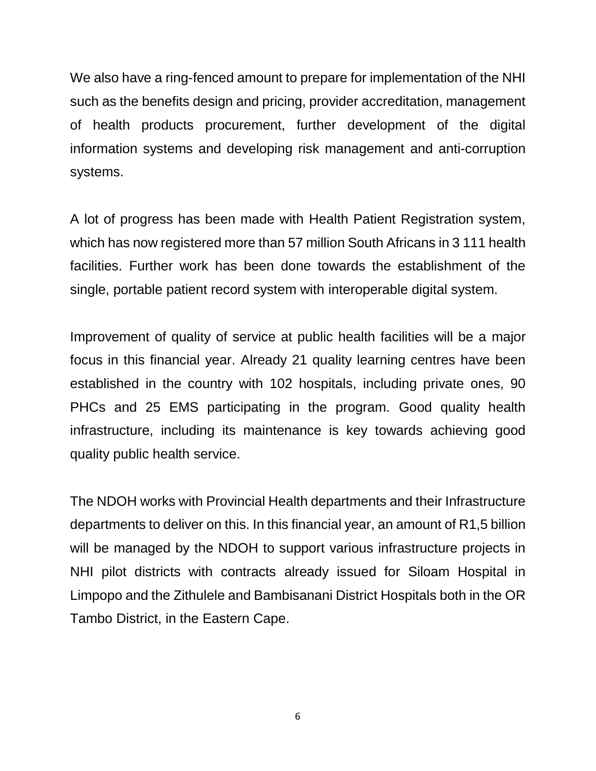We also have a ring-fenced amount to prepare for implementation of the NHI such as the benefits design and pricing, provider accreditation, management of health products procurement, further development of the digital information systems and developing risk management and anti-corruption systems.

A lot of progress has been made with Health Patient Registration system, which has now registered more than 57 million South Africans in 3 111 health facilities. Further work has been done towards the establishment of the single, portable patient record system with interoperable digital system.

Improvement of quality of service at public health facilities will be a major focus in this financial year. Already 21 quality learning centres have been established in the country with 102 hospitals, including private ones, 90 PHCs and 25 EMS participating in the program. Good quality health infrastructure, including its maintenance is key towards achieving good quality public health service.

The NDOH works with Provincial Health departments and their Infrastructure departments to deliver on this. In this financial year, an amount of R1,5 billion will be managed by the NDOH to support various infrastructure projects in NHI pilot districts with contracts already issued for Siloam Hospital in Limpopo and the Zithulele and Bambisanani District Hospitals both in the OR Tambo District, in the Eastern Cape.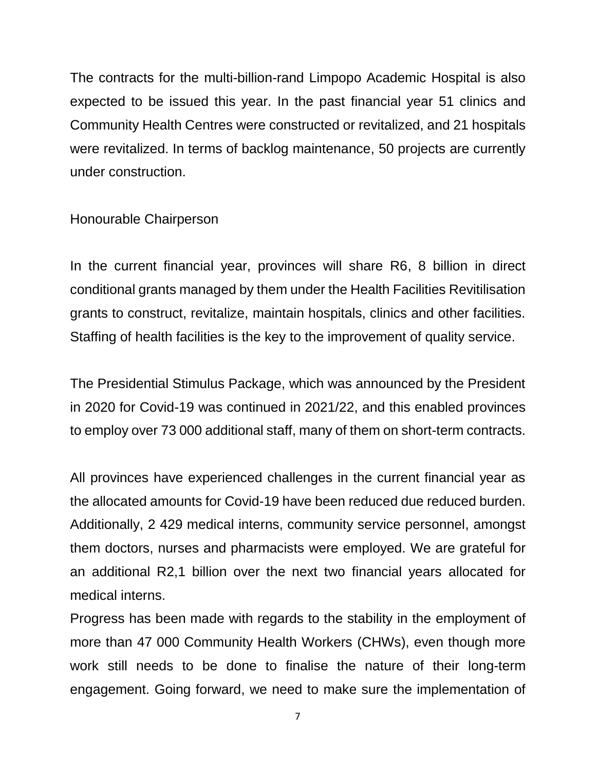The contracts for the multi-billion-rand Limpopo Academic Hospital is also expected to be issued this year. In the past financial year 51 clinics and Community Health Centres were constructed or revitalized, and 21 hospitals were revitalized. In terms of backlog maintenance, 50 projects are currently under construction.

Honourable Chairperson

In the current financial year, provinces will share R6, 8 billion in direct conditional grants managed by them under the Health Facilities Revitilisation grants to construct, revitalize, maintain hospitals, clinics and other facilities. Staffing of health facilities is the key to the improvement of quality service.

The Presidential Stimulus Package, which was announced by the President in 2020 for Covid-19 was continued in 2021/22, and this enabled provinces to employ over 73 000 additional staff, many of them on short-term contracts.

All provinces have experienced challenges in the current financial year as the allocated amounts for Covid-19 have been reduced due reduced burden. Additionally, 2 429 medical interns, community service personnel, amongst them doctors, nurses and pharmacists were employed. We are grateful for an additional R2,1 billion over the next two financial years allocated for medical interns.

Progress has been made with regards to the stability in the employment of more than 47 000 Community Health Workers (CHWs), even though more work still needs to be done to finalise the nature of their long-term engagement. Going forward, we need to make sure the implementation of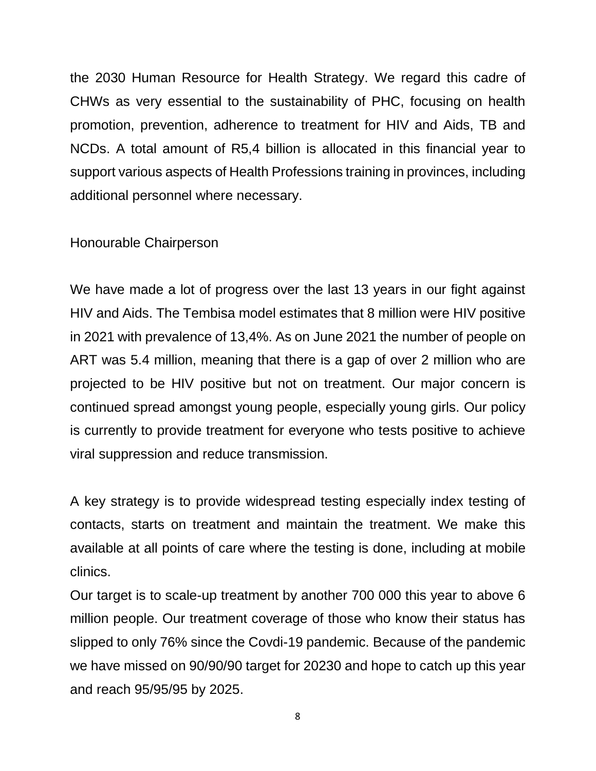the 2030 Human Resource for Health Strategy. We regard this cadre of CHWs as very essential to the sustainability of PHC, focusing on health promotion, prevention, adherence to treatment for HIV and Aids, TB and NCDs. A total amount of R5,4 billion is allocated in this financial year to support various aspects of Health Professions training in provinces, including additional personnel where necessary.

Honourable Chairperson

We have made a lot of progress over the last 13 years in our fight against HIV and Aids. The Tembisa model estimates that 8 million were HIV positive in 2021 with prevalence of 13,4%. As on June 2021 the number of people on ART was 5.4 million, meaning that there is a gap of over 2 million who are projected to be HIV positive but not on treatment. Our major concern is continued spread amongst young people, especially young girls. Our policy is currently to provide treatment for everyone who tests positive to achieve viral suppression and reduce transmission.

A key strategy is to provide widespread testing especially index testing of contacts, starts on treatment and maintain the treatment. We make this available at all points of care where the testing is done, including at mobile clinics.

Our target is to scale-up treatment by another 700 000 this year to above 6 million people. Our treatment coverage of those who know their status has slipped to only 76% since the Covdi-19 pandemic. Because of the pandemic we have missed on 90/90/90 target for 20230 and hope to catch up this year and reach 95/95/95 by 2025.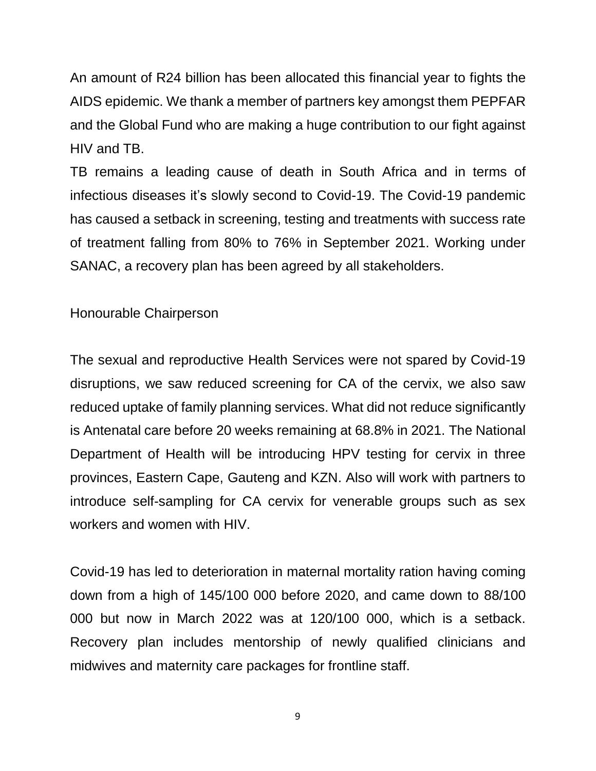An amount of R24 billion has been allocated this financial year to fights the AIDS epidemic. We thank a member of partners key amongst them PEPFAR and the Global Fund who are making a huge contribution to our fight against HIV and TB.

TB remains a leading cause of death in South Africa and in terms of infectious diseases it's slowly second to Covid-19. The Covid-19 pandemic has caused a setback in screening, testing and treatments with success rate of treatment falling from 80% to 76% in September 2021. Working under SANAC, a recovery plan has been agreed by all stakeholders.

Honourable Chairperson

The sexual and reproductive Health Services were not spared by Covid-19 disruptions, we saw reduced screening for CA of the cervix, we also saw reduced uptake of family planning services. What did not reduce significantly is Antenatal care before 20 weeks remaining at 68.8% in 2021. The National Department of Health will be introducing HPV testing for cervix in three provinces, Eastern Cape, Gauteng and KZN. Also will work with partners to introduce self-sampling for CA cervix for venerable groups such as sex workers and women with HIV.

Covid-19 has led to deterioration in maternal mortality ration having coming down from a high of 145/100 000 before 2020, and came down to 88/100 000 but now in March 2022 was at 120/100 000, which is a setback. Recovery plan includes mentorship of newly qualified clinicians and midwives and maternity care packages for frontline staff.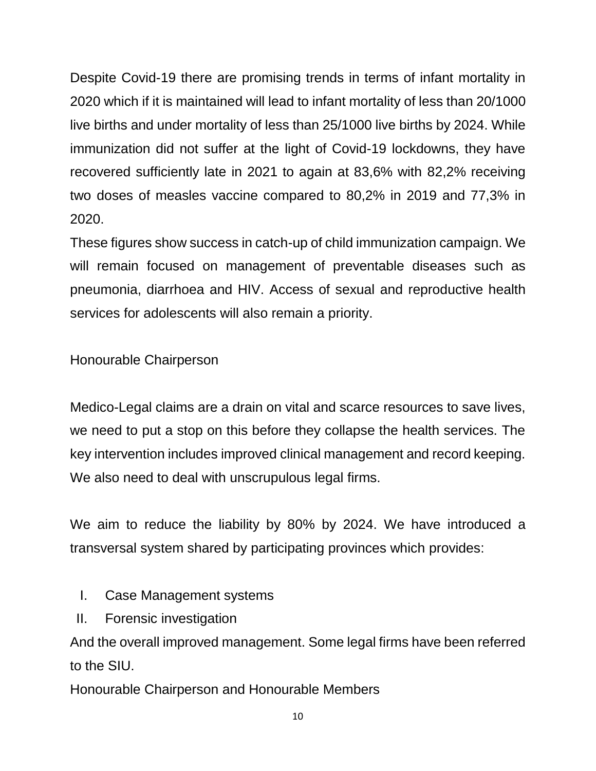Despite Covid-19 there are promising trends in terms of infant mortality in 2020 which if it is maintained will lead to infant mortality of less than 20/1000 live births and under mortality of less than 25/1000 live births by 2024. While immunization did not suffer at the light of Covid-19 lockdowns, they have recovered sufficiently late in 2021 to again at 83,6% with 82,2% receiving two doses of measles vaccine compared to 80,2% in 2019 and 77,3% in 2020.

These figures show success in catch-up of child immunization campaign. We will remain focused on management of preventable diseases such as pneumonia, diarrhoea and HIV. Access of sexual and reproductive health services for adolescents will also remain a priority.

Honourable Chairperson

Medico-Legal claims are a drain on vital and scarce resources to save lives, we need to put a stop on this before they collapse the health services. The key intervention includes improved clinical management and record keeping. We also need to deal with unscrupulous legal firms.

We aim to reduce the liability by 80% by 2024. We have introduced a transversal system shared by participating provinces which provides:

- I. Case Management systems
- II. Forensic investigation

And the overall improved management. Some legal firms have been referred to the SIU.

Honourable Chairperson and Honourable Members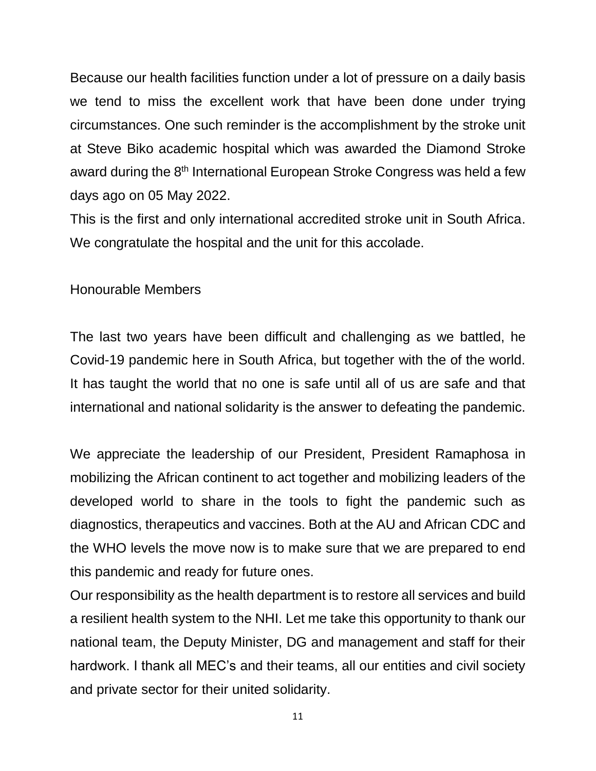Because our health facilities function under a lot of pressure on a daily basis we tend to miss the excellent work that have been done under trying circumstances. One such reminder is the accomplishment by the stroke unit at Steve Biko academic hospital which was awarded the Diamond Stroke award during the 8<sup>th</sup> International European Stroke Congress was held a few days ago on 05 May 2022.

This is the first and only international accredited stroke unit in South Africa. We congratulate the hospital and the unit for this accolade.

Honourable Members

The last two years have been difficult and challenging as we battled, he Covid-19 pandemic here in South Africa, but together with the of the world. It has taught the world that no one is safe until all of us are safe and that international and national solidarity is the answer to defeating the pandemic.

We appreciate the leadership of our President, President Ramaphosa in mobilizing the African continent to act together and mobilizing leaders of the developed world to share in the tools to fight the pandemic such as diagnostics, therapeutics and vaccines. Both at the AU and African CDC and the WHO levels the move now is to make sure that we are prepared to end this pandemic and ready for future ones.

Our responsibility as the health department is to restore all services and build a resilient health system to the NHI. Let me take this opportunity to thank our national team, the Deputy Minister, DG and management and staff for their hardwork. I thank all MEC's and their teams, all our entities and civil society and private sector for their united solidarity.